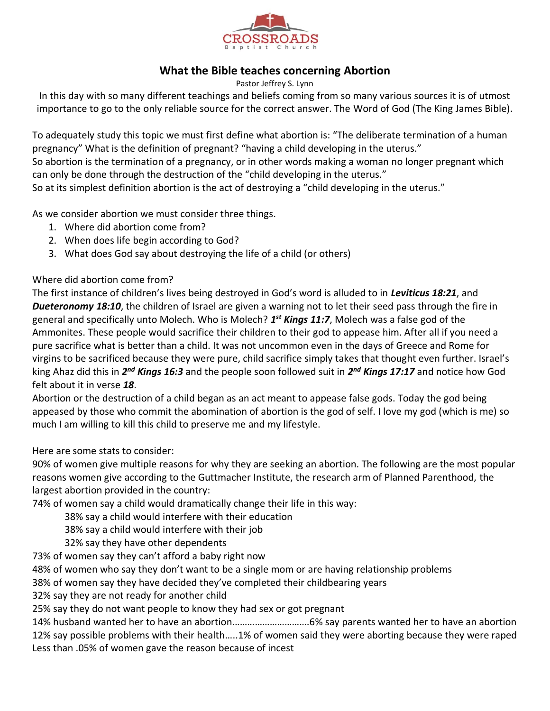

## **What the Bible teaches concerning Abortion**

Pastor Jeffrey S. Lynn

In this day with so many different teachings and beliefs coming from so many various sources it is of utmost importance to go to the only reliable source for the correct answer. The Word of God (The King James Bible).

To adequately study this topic we must first define what abortion is: "The deliberate termination of a human pregnancy" What is the definition of pregnant? "having a child developing in the uterus." So abortion is the termination of a pregnancy, or in other words making a woman no longer pregnant which

can only be done through the destruction of the "child developing in the uterus."

So at its simplest definition abortion is the act of destroying a "child developing in the uterus."

As we consider abortion we must consider three things.

- 1. Where did abortion come from?
- 2. When does life begin according to God?
- 3. What does God say about destroying the life of a child (or others)

## Where did abortion come from?

The first instance of children's lives being destroyed in God's word is alluded to in *Leviticus 18:21*, and *Dueteronomy 18:10*, the children of Israel are given a warning not to let their seed pass through the fire in general and specifically unto Molech. Who is Molech? *1 st Kings 11:7*, Molech was a false god of the Ammonites. These people would sacrifice their children to their god to appease him. After all if you need a pure sacrifice what is better than a child. It was not uncommon even in the days of Greece and Rome for virgins to be sacrificed because they were pure, child sacrifice simply takes that thought even further. Israel's king Ahaz did this in 2<sup>nd</sup> Kings 16:3 and the people soon followed suit in 2<sup>nd</sup> Kings 17:17 and notice how God felt about it in verse *18*.

Abortion or the destruction of a child began as an act meant to appease false gods. Today the god being appeased by those who commit the abomination of abortion is the god of self. I love my god (which is me) so much I am willing to kill this child to preserve me and my lifestyle.

Here are some stats to consider:

90% of women give multiple reasons for why they are seeking an abortion. The following are the most popular reasons women give according to the Guttmacher Institute, the research arm of Planned Parenthood, the largest abortion provided in the country:

74% of women say a child would dramatically change their life in this way:

38% say a child would interfere with their education

38% say a child would interfere with their job

32% say they have other dependents

73% of women say they can't afford a baby right now

48% of women who say they don't want to be a single mom or are having relationship problems

38% of women say they have decided they've completed their childbearing years

32% say they are not ready for another child

25% say they do not want people to know they had sex or got pregnant

14% husband wanted her to have an abortion………………………….6% say parents wanted her to have an abortion 12% say possible problems with their health…..1% of women said they were aborting because they were raped Less than .05% of women gave the reason because of incest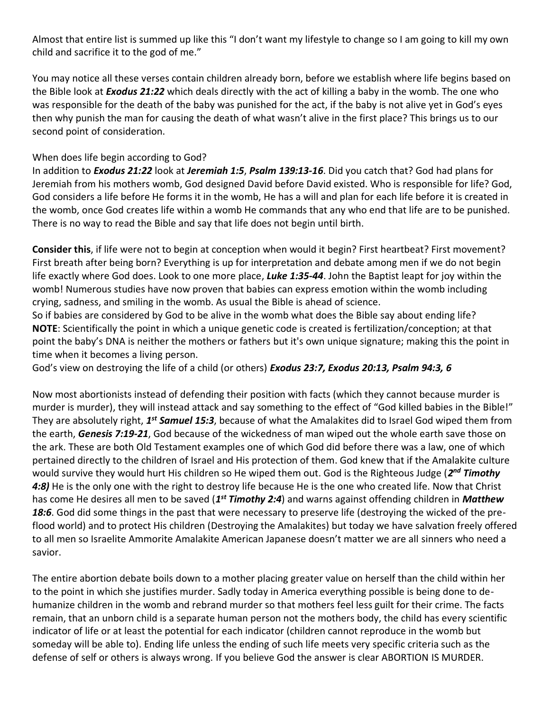Almost that entire list is summed up like this "I don't want my lifestyle to change so I am going to kill my own child and sacrifice it to the god of me."

You may notice all these verses contain children already born, before we establish where life begins based on the Bible look at *Exodus 21:22* which deals directly with the act of killing a baby in the womb. The one who was responsible for the death of the baby was punished for the act, if the baby is not alive yet in God's eyes then why punish the man for causing the death of what wasn't alive in the first place? This brings us to our second point of consideration.

## When does life begin according to God?

In addition to *Exodus 21:22* look at *Jeremiah 1:5*, *Psalm 139:13-16*. Did you catch that? God had plans for Jeremiah from his mothers womb, God designed David before David existed. Who is responsible for life? God, God considers a life before He forms it in the womb, He has a will and plan for each life before it is created in the womb, once God creates life within a womb He commands that any who end that life are to be punished. There is no way to read the Bible and say that life does not begin until birth.

**Consider this**, if life were not to begin at conception when would it begin? First heartbeat? First movement? First breath after being born? Everything is up for interpretation and debate among men if we do not begin life exactly where God does. Look to one more place, *Luke 1:35-44*. John the Baptist leapt for joy within the womb! Numerous studies have now proven that babies can express emotion within the womb including crying, sadness, and smiling in the womb. As usual the Bible is ahead of science.

So if babies are considered by God to be alive in the womb what does the Bible say about ending life? **NOTE**: Scientifically the point in which a unique genetic code is created is fertilization/conception; at that point the baby's DNA is neither the mothers or fathers but it's own unique signature; making this the point in time when it becomes a living person.

God's view on destroying the life of a child (or others) *Exodus 23:7, Exodus 20:13, Psalm 94:3, 6* 

Now most abortionists instead of defending their position with facts (which they cannot because murder is murder is murder), they will instead attack and say something to the effect of "God killed babies in the Bible!" They are absolutely right, 1<sup>st</sup> Samuel 15:3, because of what the Amalakites did to Israel God wiped them from the earth, *Genesis 7:19-21*, God because of the wickedness of man wiped out the whole earth save those on the ark. These are both Old Testament examples one of which God did before there was a law, one of which pertained directly to the children of Israel and His protection of them. God knew that if the Amalakite culture would survive they would hurt His children so He wiped them out. God is the Righteous Judge (2<sup>nd</sup> Timothy *4:8)* He is the only one with the right to destroy life because He is the one who created life. Now that Christ has come He desires all men to be saved (*1 st Timothy 2:4*) and warns against offending children in *Matthew 18:6*. God did some things in the past that were necessary to preserve life (destroying the wicked of the preflood world) and to protect His children (Destroying the Amalakites) but today we have salvation freely offered to all men so Israelite Ammorite Amalakite American Japanese doesn't matter we are all sinners who need a savior.

The entire abortion debate boils down to a mother placing greater value on herself than the child within her to the point in which she justifies murder. Sadly today in America everything possible is being done to dehumanize children in the womb and rebrand murder so that mothers feel less guilt for their crime. The facts remain, that an unborn child is a separate human person not the mothers body, the child has every scientific indicator of life or at least the potential for each indicator (children cannot reproduce in the womb but someday will be able to). Ending life unless the ending of such life meets very specific criteria such as the defense of self or others is always wrong. If you believe God the answer is clear ABORTION IS MURDER.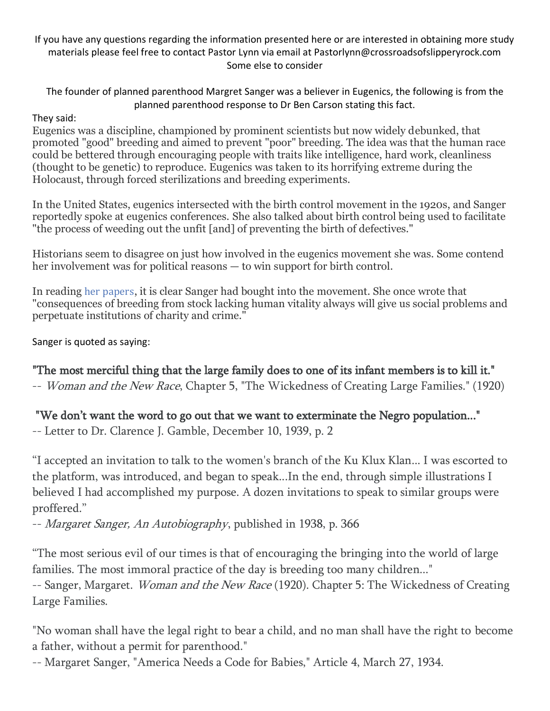If you have any questions regarding the information presented here or are interested in obtaining more study materials please feel free to contact Pastor Lynn via email at Pastorlynn@crossroadsofslipperyrock.com Some else to consider

The founder of planned parenthood Margret Sanger was a believer in Eugenics, the following is from the planned parenthood response to Dr Ben Carson stating this fact.

## They said:

Eugenics was a discipline, championed by prominent scientists but now widely debunked, that promoted "good" breeding and aimed to prevent "poor" breeding. The idea was that the human race could be bettered through encouraging people with traits like intelligence, hard work, cleanliness (thought to be genetic) to reproduce. Eugenics was taken to its horrifying extreme during the Holocaust, through forced sterilizations and breeding experiments.

In the United States, eugenics intersected with the birth control movement in the 1920s, and Sanger reportedly spoke at eugenics conferences. She also talked about birth control being used to facilitate "the process of weeding out the unfit [and] of preventing the birth of defectives."

Historians seem to disagree on just how involved in the eugenics movement she was. Some contend her involvement was for political reasons — to win support for birth control.

In reading her [papers](https://www.nyu.edu/projects/sanger/webedition/app/documents/show.php?sangerDoc=238946.xml), it is clear Sanger had bought into the movement. She once wrote that "consequences of breeding from stock lacking human vitality always will give us social problems and perpetuate institutions of charity and crime."

Sanger is quoted as saying:

"The most merciful thing that the large family does to one of its infant members is to kill it."

-- *Woman and the New Race*, Chapter 5, "The Wickedness of Creating Large Families." (1920)

"We don't want the word to go out that we want to exterminate the Negro population..."

-- Letter to Dr. Clarence J. Gamble, December 10, 1939, p. 2

"I accepted an invitation to talk to the women's branch of the Ku Klux Klan... I was escorted to the platform, was introduced, and began to speak...In the end, through simple illustrations I believed I had accomplished my purpose. A dozen invitations to speak to similar groups were proffered."

-- Margaret Sanger, An Autobiography, published in 1938, p. 366

"The most serious evil of our times is that of encouraging the bringing into the world of large families. The most immoral practice of the day is breeding too many children..."

-- Sanger, Margaret. Woman and the New Race (1920). Chapter 5: The Wickedness of Creating Large Families.

"No woman shall have the legal right to bear a child, and no man shall have the right to become a father, without a permit for parenthood."

-- Margaret Sanger, "America Needs a Code for Babies," Article 4, March 27, 1934.